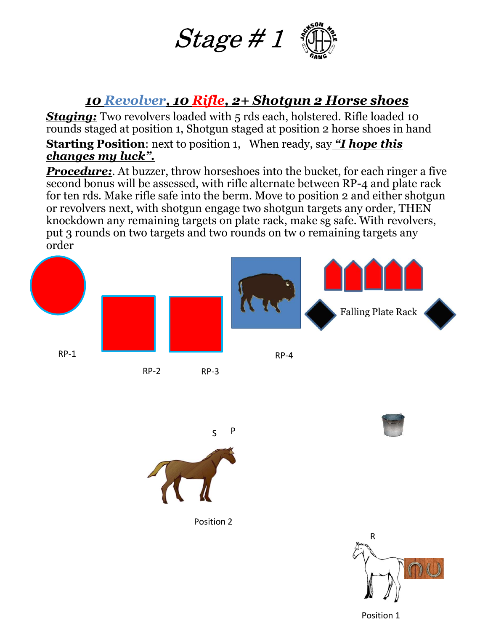

#### 10 Revolver, 10 Rifle, 2+ Shotgun 2 Horse shoes

 $Stage \# 1$   $\bigoplus_{\text{max}}$ <br>
10 Revolver, 10 Rifle, 2+ Shotgun 2 Horse shoes<br>
Staging: Two revolvers loaded with 5 rds each, holstered. Rifle loaded 10<br>
rounds staged at position 1, Shotgun staged at position 2 horse shoes in h rounds staged at position 1, Shotgun staged at position 2 horse shoes in hand

**Starting Position:** next to position 1, When ready, say "I hope this changes my luck".

**Procedure:.** At buzzer, throw horseshoes into the bucket, for each ringer a five second bonus will be assessed, with rifle alternate between RP-4 and plate rack for ten rds. Make rifle safe into the berm. Move to position 2 and either shotgun or revolvers next, with shotgun engage two shotgun targets any order, THEN **Stage #1** Stage the shottom and the shottom of the shottom of the shottom stage of the shottom is staged at position 1, Shotgun is a shottered. Rifle loaded 10 rounds staged at position 1, Shotgun staged at position 2 ho knockdown any remaining targets on plate rack, make sg safe. With revolvers, **Stage #1 (Constant)**<br> **10 Revolver, 10 Rifle, 2+ Shotgun 2 Horse shoes**<br> **Staging:** Two revolvers loaded with 5 rds each, holstered. Rifle loaded 10<br>
prounds staged at position 1, Shotgun staged at position 2 horse sho order







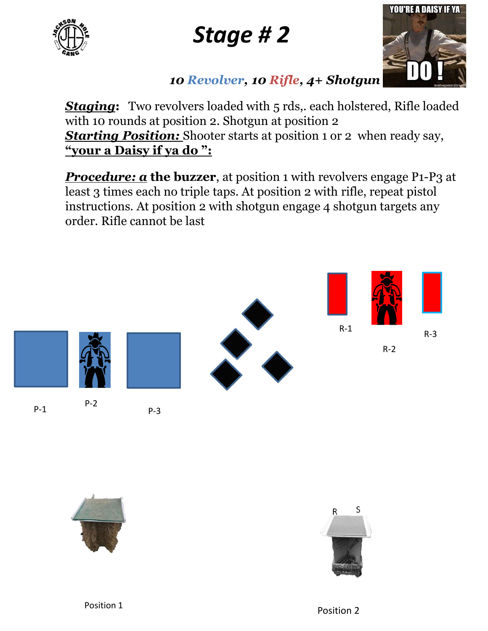

# Stage # 2



#### 10 Revolver, 10 Rifle, 4+ Shotgun

**Staging:** Two revolvers loaded with 5 rds, each holstered, Rifle loaded with 10 rounds at position 2. Shotgun at position 2 **Starting Position:** Shooter starts at position 1 or 2 when ready say, **Stage # 2**<br>
10 Revolver, 10 Rifle, 4+ Shotgun<br>
Staging: Two revolvers loaded with 5 rds, each holstered, Rifle load<br>
with 10 rounds at position 2. Shotgun at position 2<br>
<u>Starting Position:</u> Shooter starts at position 1

**Procedure:**  $\alpha$  **the buzzer**, at position 1 with revolvers engage P1-P3 at least 3 times each no triple taps. At position 2 with rifle, repeat pistol instructions. At position 2 with shotgun engage 4 shotgun targets any order. Rifle cannot be last

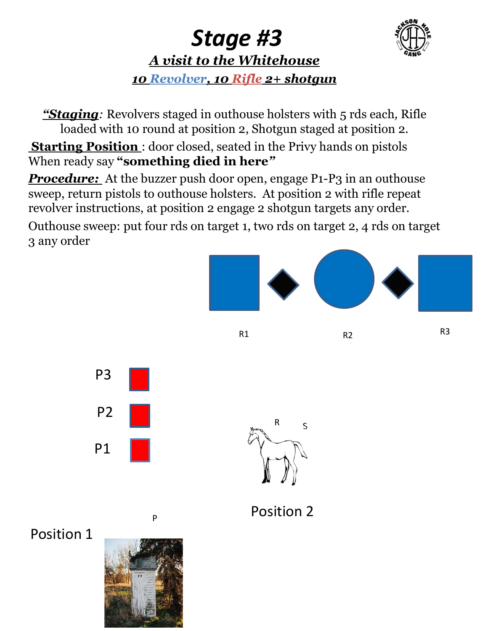

### Stage #3 A visit to the Whitehouse 10 Revolver, 10 Rifle 2+ shotgun

**Stage #3**<br>A visit to the Whitehouse<br>10 Revolver, 10 Rifle 2+ shotgun<br>"Staging: Revolvers staged in outhouse holsters with 5 rds each, Rifle<br>loaded with 10 round at position 2, Shotgun staged at position 2.<br>arting Positio loaded with 10 round at position 2, Shotgun staged at position 2. **Starting Position**: door closed, seated in the Privy hands on pistols When ready say "something died in here"

**Procedure:** At the buzzer push door open, engage P1-P3 in an outhouse **Stage #3**<br> **Staging:** Nevolver, 10 Rifle 2+ shotgun<br> **Contained to the Whitehouse**<br> **Contains to the Whitehouse**<br> **Contains to outhous** the privation 2.<br> **Contains Position**: door closed, seated in the Privy hands on pis revolver instructions, at position 2 engage 2 shotgun targets any order. **Stage #3**<br> **A visit to the Whitehouse**<br> **10 Revolver, 10 Rifle 2+ shotgun**<br> **Country on target 3**<br> **Country on target 3**<br> **Country on target 3**<br> **Countably super staged in outhouse holsters with 5 rds each, Rifle**<br> **Star** 3 any order

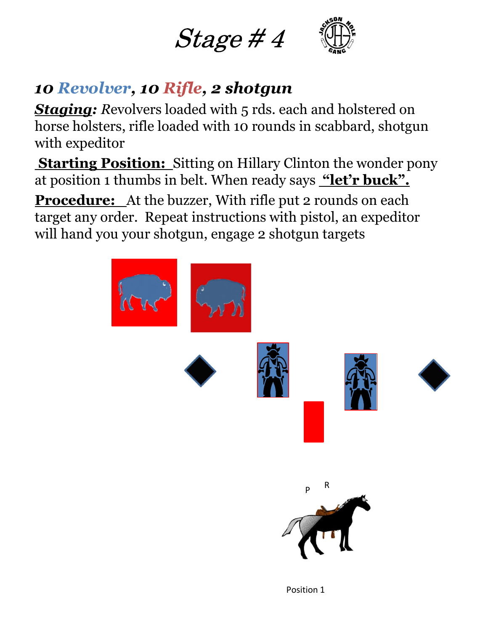



## 10 Revolver, 10 Rifle, 2 shotgun

**Staging:** Revolvers loaded with 5 rds. each and holstered on horse holsters, rifle loaded with 10 rounds in scabbard, shotgun with expeditor **at position 1 of Revolver, 10 Rifle, 2 shotgun**<br> **Staging:** Revolvers loaded with 5 rds. each and holstered on<br>
horse holsters, rifle loaded with 10 rounds in scabbard, shotgun<br>
with expeditor<br> **Starting Position:** Sitti

**Starting Position:** Sitting on Hillary Clinton the wonder pony

Procedure: At the buzzer, With rifle put 2 rounds on each target any order. Repeat instructions with pistol, an expeditor will hand you your shotgun, engage 2 shotgun targets